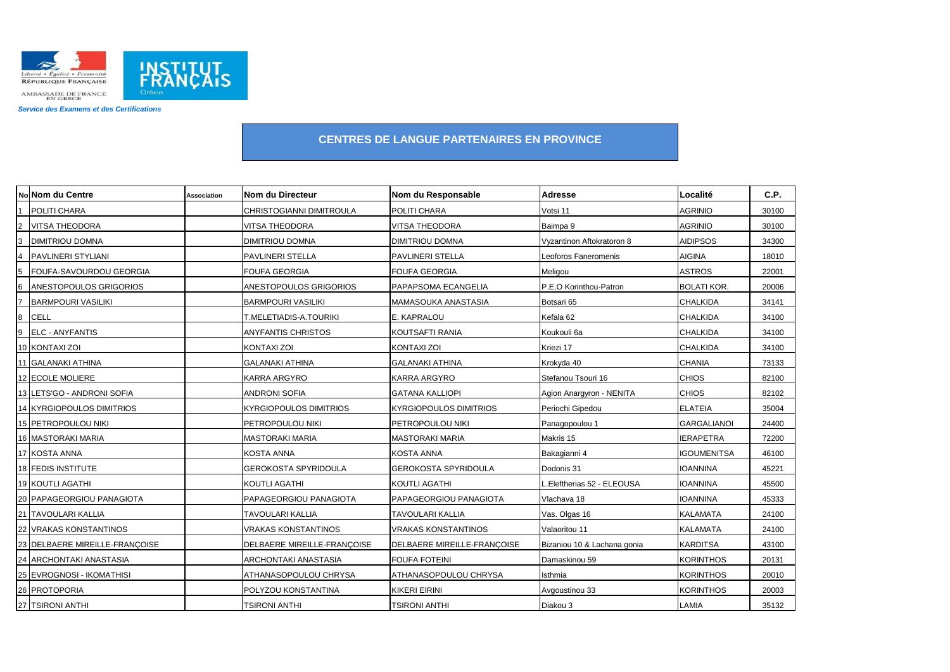

Service des Examens et des Certifications

## **CENTRES DE LANGUE PARTENAIRES EN PROVINCE**

|                | No Nom du Centre               | <b>Association</b> | Nom du Directeur              | Nom du Responsable            | <b>Adresse</b>              | Localité           | C.P.  |
|----------------|--------------------------------|--------------------|-------------------------------|-------------------------------|-----------------------------|--------------------|-------|
|                | <b>POLITI CHARA</b>            |                    | CHRISTOGIANNI DIMITROULA      | POLITI CHARA                  | Votsi 11                    | <b>AGRINIO</b>     | 30100 |
| $\overline{2}$ | <b>VITSA THEODORA</b>          |                    | VITSA THEODORA                | VITSA THEODORA                | Baimpa 9                    | <b>AGRINIO</b>     | 30100 |
| 3              | <b>DIMITRIOU DOMNA</b>         |                    | <b>DIMITRIOU DOMNA</b>        | <b>DIMITRIOU DOMNA</b>        | Vyzantinon Aftokratoron 8   | <b>AIDIPSOS</b>    | 34300 |
| $\overline{a}$ | <b>PAVLINERI STYLIANI</b>      |                    | PAVLINERI STELLA              | PAVLINERI STELLA              | Leoforos Faneromenis        | <b>AIGINA</b>      | 18010 |
| 5              | FOUFA-SAVOURDOU GEORGIA        |                    | <b>FOUFA GEORGIA</b>          | FOUFA GEORGIA                 | Meligou                     | <b>ASTROS</b>      | 22001 |
| 6              | <b>ANESTOPOULOS GRIGORIOS</b>  |                    | ANESTOPOULOS GRIGORIOS        | PAPAPSOMA ECANGELIA           | P.E.O Korinthou-Patron      | <b>BOLATI KOR.</b> | 20006 |
|                | <b>BARMPOURI VASILIKI</b>      |                    | <b>BARMPOURI VASILIKI</b>     | MAMASOUKA ANASTASIA           | Botsari 65                  | <b>CHALKIDA</b>    | 34141 |
| 8              | <b>CELL</b>                    |                    | T.MELETIADIS-A.TOURIKI        | E. KAPRALOU                   | Kefala 62                   | <b>CHALKIDA</b>    | 34100 |
| 9              | <b>ELC - ANYFANTIS</b>         |                    | <b>ANYFANTIS CHRISTOS</b>     | KOUTSAFTI RANIA               | Koukouli 6a                 | <b>CHALKIDA</b>    | 34100 |
|                | 10 KONTAXI ZOI                 |                    | <b>KONTAXI ZOI</b>            | KONTAXI ZOI                   | Kriezi 17                   | <b>CHALKIDA</b>    | 34100 |
|                | 11 GALANAKI ATHINA             |                    | <b>GALANAKI ATHINA</b>        | <b>GALANAKI ATHINA</b>        | Krokyda 40                  | <b>CHANIA</b>      | 73133 |
|                | 12 ECOLE MOLIERE               |                    | <b>KARRA ARGYRO</b>           | <b>KARRA ARGYRO</b>           | Stefanou Tsouri 16          | <b>CHIOS</b>       | 82100 |
|                | 13 LETS'GO - ANDRONI SOFIA     |                    | <b>ANDRONI SOFIA</b>          | <b>GATANA KALLIOPI</b>        | Agion Anargyron - NENITA    | <b>CHIOS</b>       | 82102 |
|                | 14 KYRGIOPOULOS DIMITRIOS      |                    | <b>KYRGIOPOULOS DIMITRIOS</b> | <b>KYRGIOPOULOS DIMITRIOS</b> | Periochi Gipedou            | <b>ELATEIA</b>     | 35004 |
|                | 15 PETROPOULOU NIKI            |                    | PETROPOULOU NIKI              | PETROPOULOU NIKI              | Panagopoulou 1              | <b>GARGALIANOI</b> | 24400 |
|                | 16 MASTORAKI MARIA             |                    | <b>MASTORAKI MARIA</b>        | <b>MASTORAKI MARIA</b>        | Makris 15                   | <b>IERAPETRA</b>   | 72200 |
|                | 17 KOSTA ANNA                  |                    | <b>KOSTA ANNA</b>             | <b>KOSTA ANNA</b>             | Bakagianni 4                | <b>IGOUMENITSA</b> | 46100 |
|                | 18 FEDIS INSTITUTE             |                    | <b>GEROKOSTA SPYRIDOULA</b>   | <b>GEROKOSTA SPYRIDOULA</b>   | Dodonis 31                  | <b>IOANNINA</b>    | 45221 |
|                | <b>19 KOUTLI AGATHI</b>        |                    | <b>KOUTLI AGATHI</b>          | KOUTLI AGATHI                 | Eleftherias 52 - ELEOUSA    | <b>IOANNINA</b>    | 45500 |
|                | 20 PAPAGEORGIOU PANAGIOTA      |                    | PAPAGEORGIOU PANAGIOTA        | PAPAGEORGIOU PANAGIOTA        | Vlachava 18                 | <b>IOANNINA</b>    | 45333 |
|                | 21 TAVOULARI KALLIA            |                    | TAVOULARI KALLIA              | <b>TAVOULARI KALLIA</b>       | Vas. Olgas 16               | <b>KALAMATA</b>    | 24100 |
|                | 22 VRAKAS KONSTANTINOS         |                    | <b>VRAKAS KONSTANTINOS</b>    | <b>VRAKAS KONSTANTINOS</b>    | Valaoritou 11               | <b>KALAMATA</b>    | 24100 |
|                | 23 DELBAERE MIREILLE-FRANÇOISE |                    | DELBAERE MIREILLE-FRANÇOISE   | DELBAERE MIREILLE-FRANCOISE   | Bizaniou 10 & Lachana gonia | <b>KARDITSA</b>    | 43100 |
|                | 24 ARCHONTAKI ANASTASIA        |                    | ARCHONTAKI ANASTASIA          | <b>FOUFA FOTEINI</b>          | Damaskinou 59               | <b>KORINTHOS</b>   | 20131 |
|                | 25 EVROGNOSI - IKOMATHISI      |                    | ATHANASOPOULOU CHRYSA         | ATHANASOPOULOU CHRYSA         | Isthmia                     | <b>KORINTHOS</b>   | 20010 |
|                | 26 PROTOPORIA                  |                    | POLYZOU KONSTANTINA           | <b>KIKERI EIRINI</b>          | Avgoustinou 33              | <b>KORINTHOS</b>   | 20003 |
|                | 27 TSIRONI ANTHI               |                    | TSIRONI ANTHI                 | TSIRONI ANTHI                 | Diakou 3                    | LAMIA              | 35132 |